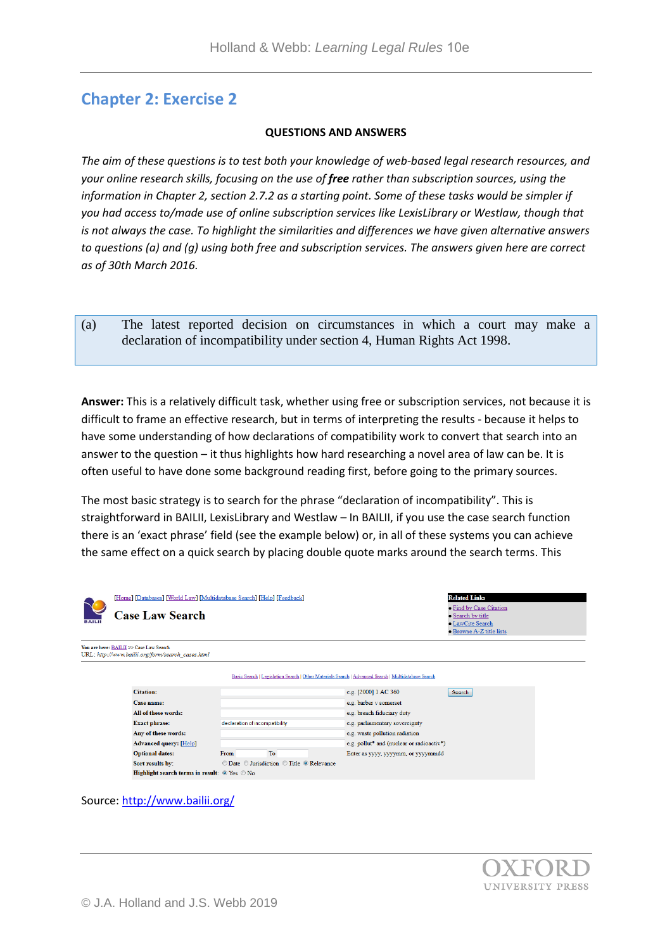# **Chapter 2: Exercise 2**

#### **QUESTIONS AND ANSWERS**

*The aim of these questions is to test both your knowledge of web-based legal research resources, and your online research skills, focusing on the use of free rather than subscription sources, using the information in Chapter 2, section 2.7.2 as a starting point. Some of these tasks would be simpler if you had access to/made use of online subscription services like LexisLibrary or Westlaw, though that is not always the case. To highlight the similarities and differences we have given alternative answers to questions (a) and (g) using both free and subscription services. The answers given here are correct as of 30th March 2016.* 

(a) The latest reported decision on circumstances in which a court may make a declaration of incompatibility under section 4, Human Rights Act 1998.

**Answer:** This is a relatively difficult task, whether using free or subscription services, not because it is difficult to frame an effective research, but in terms of interpreting the results - because it helps to have some understanding of how declarations of compatibility work to convert that search into an answer to the question – it thus highlights how hard researching a novel area of law can be. It is often useful to have done some background reading first, before going to the primary sources.

The most basic strategy is to search for the phrase "declaration of incompatibility". This is straightforward in BAILII, LexisLibrary and Westlaw – In BAILII, if you use the case search function there is an 'exact phrase' field (see the example below) or, in all of these systems you can achieve the same effect on a quick search by placing double quote marks around the search terms. This

| <b>BAILII</b> | [Home] [Databases] [World Law] [Multidatabase Search] [Help] [Feedback]<br><b>Case Law Search</b> |                                           | <b>Related Links</b><br>• Find by Case Citation<br>• Search by title<br>• LawCite Search<br>• Browse A-Z title lists |  |
|---------------|---------------------------------------------------------------------------------------------------|-------------------------------------------|----------------------------------------------------------------------------------------------------------------------|--|
|               | You are here: BAILII >> Case Law Search<br>URL: http://www.bailii.org/form/search_cases.html      |                                           |                                                                                                                      |  |
|               |                                                                                                   |                                           | Basic Search   Legislation Search   Other Materials Search   Advanced Search   Multidatabase Search                  |  |
|               | <b>Citation:</b>                                                                                  |                                           | e.g. [2000] 1 AC 360<br>Search                                                                                       |  |
|               | Case name:                                                                                        |                                           | e.g. barber v somerset                                                                                               |  |
|               | All of these words:                                                                               |                                           | e.g. breach fiduciary duty                                                                                           |  |
|               | <b>Exact phrase:</b>                                                                              | declaration of incompatibility            | e.g. parliamentary sovereignty                                                                                       |  |
|               | Any of these words:                                                                               |                                           | e.g. waste pollution radiation                                                                                       |  |
|               | <b>Advanced query: [Help]</b>                                                                     |                                           | e.g. pollut* and (nuclear or radioactiv*)                                                                            |  |
|               | <b>Optional dates:</b>                                                                            | To<br>From                                | Enter as yyyy, yyyymm, or yyyymmdd                                                                                   |  |
|               | Sort results by:                                                                                  | © Date © Jurisdiction © Title © Relevance |                                                                                                                      |  |
|               | <b>Highlight search terms in result:</b> $\circ$ Yes $\circ$ No                                   |                                           |                                                                                                                      |  |

Source:<http://www.bailii.org/>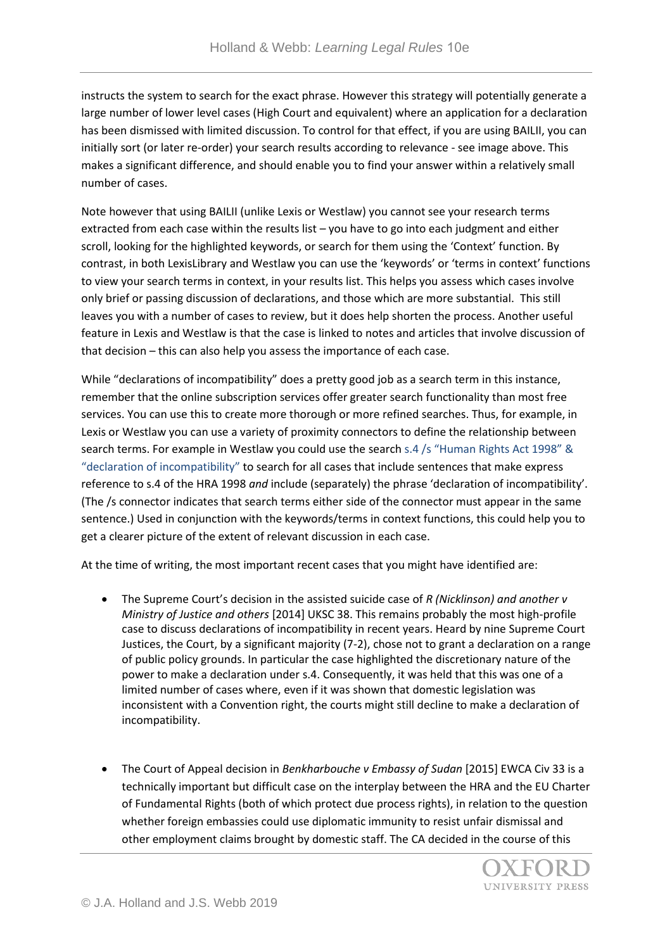instructs the system to search for the exact phrase. However this strategy will potentially generate a large number of lower level cases (High Court and equivalent) where an application for a declaration has been dismissed with limited discussion. To control for that effect, if you are using BAILII, you can initially sort (or later re-order) your search results according to relevance - see image above. This makes a significant difference, and should enable you to find your answer within a relatively small number of cases.

Note however that using BAILII (unlike Lexis or Westlaw) you cannot see your research terms extracted from each case within the results list – you have to go into each judgment and either scroll, looking for the highlighted keywords, or search for them using the 'Context' function. By contrast, in both LexisLibrary and Westlaw you can use the 'keywords' or 'terms in context' functions to view your search terms in context, in your results list. This helps you assess which cases involve only brief or passing discussion of declarations, and those which are more substantial. This still leaves you with a number of cases to review, but it does help shorten the process. Another useful feature in Lexis and Westlaw is that the case is linked to notes and articles that involve discussion of that decision – this can also help you assess the importance of each case.

While "declarations of incompatibility" does a pretty good job as a search term in this instance, remember that the online subscription services offer greater search functionality than most free services. You can use this to create more thorough or more refined searches. Thus, for example, in Lexis or Westlaw you can use a variety of proximity connectors to define the relationship between search terms. For example in Westlaw you could use the search s.4 /s "Human Rights Act 1998" & "declaration of incompatibility" to search for all cases that include sentences that make express reference to s.4 of the HRA 1998 *and* include (separately) the phrase 'declaration of incompatibility'. (The /s connector indicates that search terms either side of the connector must appear in the same sentence.) Used in conjunction with the keywords/terms in context functions, this could help you to get a clearer picture of the extent of relevant discussion in each case.

At the time of writing, the most important recent cases that you might have identified are:

- The Supreme Court's decision in the assisted suicide case of *R (Nicklinson) and another v Ministry of Justice and others* [2014] UKSC 38. This remains probably the most high-profile case to discuss declarations of incompatibility in recent years. Heard by nine Supreme Court Justices, the Court, by a significant majority (7-2), chose not to grant a declaration on a range of public policy grounds. In particular the case highlighted the discretionary nature of the power to make a declaration under s.4. Consequently, it was held that this was one of a limited number of cases where, even if it was shown that domestic legislation was inconsistent with a Convention right, the courts might still decline to make a declaration of incompatibility.
- The Court of Appeal decision in *Benkharbouche v Embassy of Sudan* [2015] EWCA Civ 33 is a technically important but difficult case on the interplay between the HRA and the EU Charter of Fundamental Rights (both of which protect due process rights), in relation to the question whether foreign embassies could use diplomatic immunity to resist unfair dismissal and other employment claims brought by domestic staff. The CA decided in the course of this

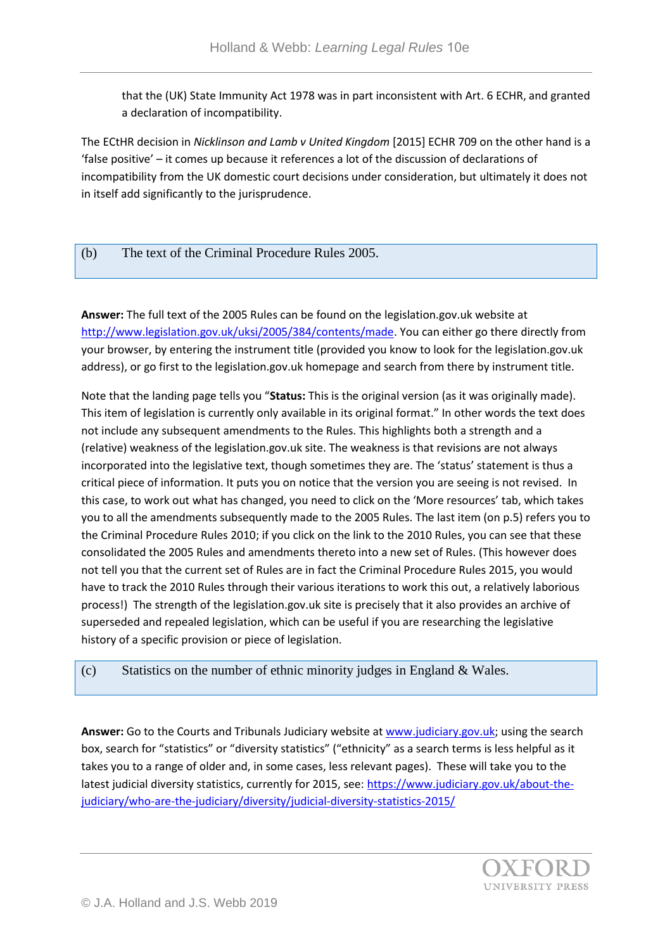that the (UK) State Immunity Act 1978 was in part inconsistent with Art. 6 ECHR, and granted a declaration of incompatibility.

The ECtHR decision in *Nicklinson and Lamb v United Kingdom* [2015] ECHR 709 on the other hand is a 'false positive' – it comes up because it references a lot of the discussion of declarations of incompatibility from the UK domestic court decisions under consideration, but ultimately it does not in itself add significantly to the jurisprudence.

# (b) The text of the Criminal Procedure Rules 2005.

**Answer:** The full text of the 2005 Rules can be found on the legislation.gov.uk website at [http://www.legislation.gov.uk/uksi/2005/384/contents/made.](http://www.legislation.gov.uk/uksi/2005/384/contents/made) You can either go there directly from your browser, by entering the instrument title (provided you know to look for the legislation.gov.uk address), or go first to the legislation.gov.uk homepage and search from there by instrument title.

Note that the landing page tells you "**Status:** This is the original version (as it was originally made). This item of legislation is currently only available in its original format." In other words the text does not include any subsequent amendments to the Rules. This highlights both a strength and a (relative) weakness of the legislation.gov.uk site. The weakness is that revisions are not always incorporated into the legislative text, though sometimes they are. The 'status' statement is thus a critical piece of information. It puts you on notice that the version you are seeing is not revised. In this case, to work out what has changed, you need to click on the 'More resources' tab, which takes you to all the amendments subsequently made to the 2005 Rules. The last item (on p.5) refers you to the Criminal Procedure Rules 2010; if you click on the link to the 2010 Rules, you can see that these consolidated the 2005 Rules and amendments thereto into a new set of Rules. (This however does not tell you that the current set of Rules are in fact the Criminal Procedure Rules 2015, you would have to track the 2010 Rules through their various iterations to work this out, a relatively laborious process!) The strength of the legislation.gov.uk site is precisely that it also provides an archive of superseded and repealed legislation, which can be useful if you are researching the legislative history of a specific provision or piece of legislation.

## (c) Statistics on the number of ethnic minority judges in England & Wales.

**Answer:** Go to the Courts and Tribunals Judiciary website at [www.judiciary.gov.uk;](http://www.judiciary.gov.uk/) using the search box, search for "statistics" or "diversity statistics" ("ethnicity" as a search terms is less helpful as it takes you to a range of older and, in some cases, less relevant pages). These will take you to the latest judicial diversity statistics, currently for 2015, see: [https://www.judiciary.gov.uk/about-the](https://www.judiciary.gov.uk/about-the-judiciary/who-are-the-judiciary/diversity/judicial-diversity-statistics-2015/)[judiciary/who-are-the-judiciary/diversity/judicial-diversity-statistics-2015/](https://www.judiciary.gov.uk/about-the-judiciary/who-are-the-judiciary/diversity/judicial-diversity-statistics-2015/)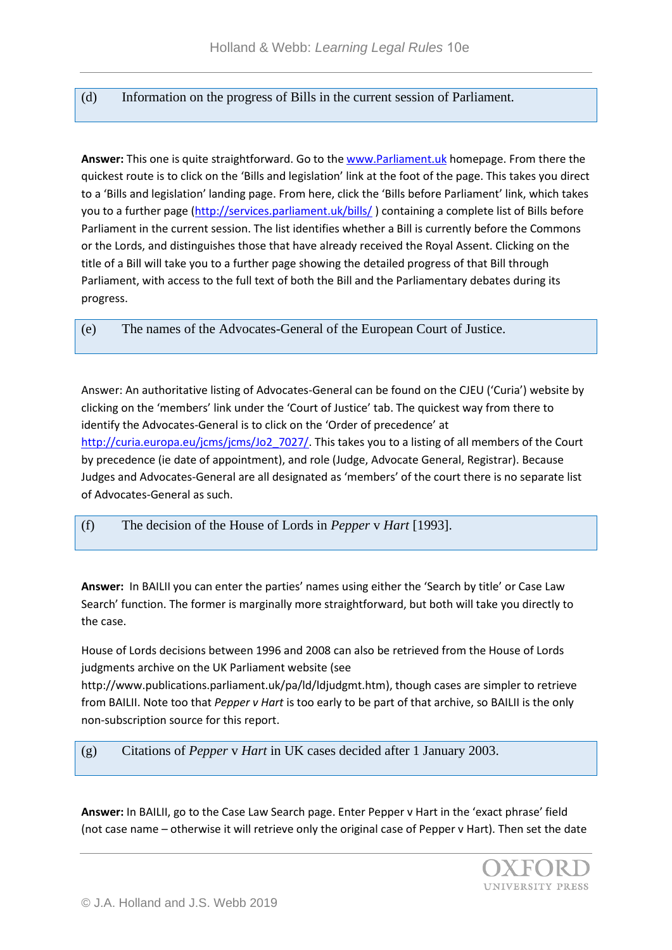# (d) Information on the progress of Bills in the current session of Parliament.

**Answer:** This one is quite straightforward. Go to the [www.Parliament.uk](http://www.parliament.uk/) homepage. From there the quickest route is to click on the 'Bills and legislation' link at the foot of the page. This takes you direct to a 'Bills and legislation' landing page. From here, click the 'Bills before Parliament' link, which takes you to a further page [\(http://services.parliament.uk/bills/](http://services.parliament.uk/bills/) ) containing a complete list of Bills before Parliament in the current session. The list identifies whether a Bill is currently before the Commons or the Lords, and distinguishes those that have already received the Royal Assent. Clicking on the title of a Bill will take you to a further page showing the detailed progress of that Bill through Parliament, with access to the full text of both the Bill and the Parliamentary debates during its progress.

(e) The names of the Advocates-General of the European Court of Justice.

Answer: An authoritative listing of Advocates-General can be found on the CJEU ('Curia') website by clicking on the 'members' link under the 'Court of Justice' tab. The quickest way from there to identify the Advocates-General is to click on the 'Order of precedence' at [http://curia.europa.eu/jcms/jcms/Jo2\\_7027/.](http://curia.europa.eu/jcms/jcms/Jo2_7027/) This takes you to a listing of all members of the Court by precedence (ie date of appointment), and role (Judge, Advocate General, Registrar). Because Judges and Advocates-General are all designated as 'members' of the court there is no separate list of Advocates-General as such.

## (f) The decision of the House of Lords in *Pepper* v *Hart* [1993].

**Answer:** In BAILII you can enter the parties' names using either the 'Search by title' or Case Law Search' function. The former is marginally more straightforward, but both will take you directly to the case.

House of Lords decisions between 1996 and 2008 can also be retrieved from the House of Lords judgments archive on the UK Parliament website (see

http://www.publications.parliament.uk/pa/ld/ldjudgmt.htm), though cases are simpler to retrieve from BAILII. Note too that *Pepper v Hart* is too early to be part of that archive, so BAILII is the only non-subscription source for this report.

## (g) Citations of *Pepper* v *Hart* in UK cases decided after 1 January 2003.

**Answer:** In BAILII, go to the Case Law Search page. Enter Pepper v Hart in the 'exact phrase' field (not case name – otherwise it will retrieve only the original case of Pepper v Hart). Then set the date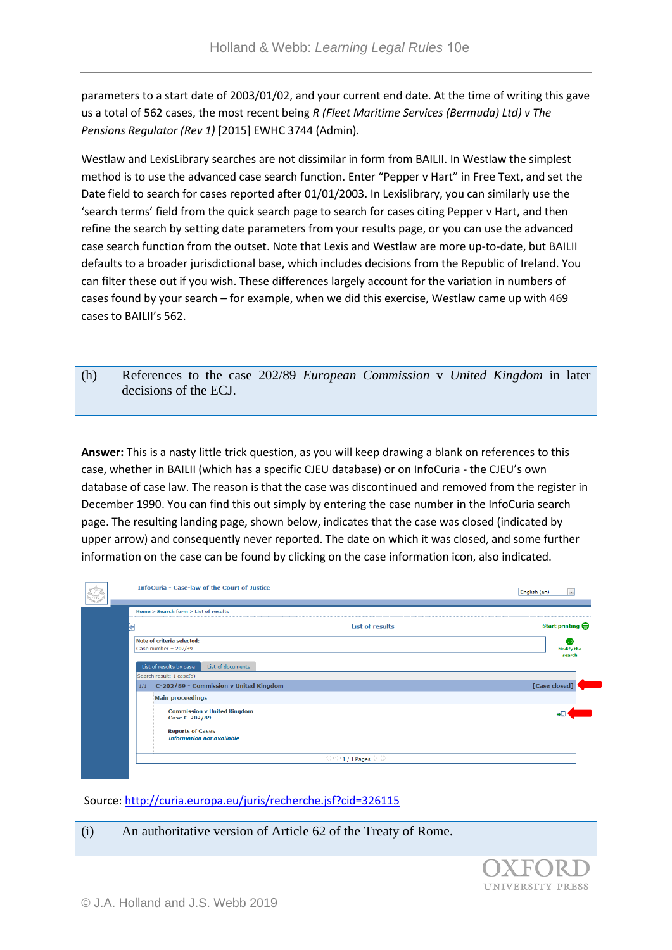parameters to a start date of 2003/01/02, and your current end date. At the time of writing this gave us a total of 562 cases, the most recent being *R (Fleet Maritime Services (Bermuda) Ltd) v The Pensions Regulator (Rev 1)* [2015] EWHC 3744 (Admin).

Westlaw and LexisLibrary searches are not dissimilar in form from BAILII. In Westlaw the simplest method is to use the advanced case search function. Enter "Pepper v Hart" in Free Text, and set the Date field to search for cases reported after 01/01/2003. In Lexislibrary, you can similarly use the 'search terms' field from the quick search page to search for cases citing Pepper v Hart, and then refine the search by setting date parameters from your results page, or you can use the advanced case search function from the outset. Note that Lexis and Westlaw are more up-to-date, but BAILII defaults to a broader jurisdictional base, which includes decisions from the Republic of Ireland. You can filter these out if you wish. These differences largely account for the variation in numbers of cases found by your search – for example, when we did this exercise, Westlaw came up with 469 cases to BAILII's 562.

(h) References to the case 202/89 *European Commission* v *United Kingdom* in later decisions of the ECJ.

**Answer:** This is a nasty little trick question, as you will keep drawing a blank on references to this case, whether in BAILII (which has a specific CJEU database) or on InfoCuria - the CJEU's own database of case law. The reason is that the case was discontinued and removed from the register in December 1990. You can find this out simply by entering the case number in the InfoCuria search page. The resulting landing page, shown below, indicates that the case was closed (indicated by upper arrow) and consequently never reported. The date on which it was closed, and some further information on the case can be found by clicking on the case information icon, also indicated.

| CVRIA | <b>InfoCuria - Case-law of the Court of Justice</b> |                                                                                                               |                        |
|-------|-----------------------------------------------------|---------------------------------------------------------------------------------------------------------------|------------------------|
|       |                                                     | Home > Search form > List of results                                                                          |                        |
|       |                                                     | <b>List of results</b>                                                                                        | Start printing         |
|       |                                                     | Note of criteria selected:<br>Case number = $202/89$                                                          | Θ<br><b>Modify the</b> |
|       |                                                     | List of results by case<br>List of documents                                                                  | search                 |
|       | 1/1                                                 | Search result: 1 case(s)<br>C-202/89 - Commission v United Kingdom                                            | [Case closed]          |
|       |                                                     | <b>Main proceedings</b>                                                                                       |                        |
|       |                                                     | <b>Commission v United Kingdom</b><br>Case C-202/89                                                           |                        |
|       |                                                     | <b>Reports of Cases</b><br><b>Information not available</b>                                                   |                        |
|       |                                                     | $\langle \rangle$ ं $\langle \rangle$ 1 / 1 Pages $\Rightarrow$ $\stackrel{\leftrightarrow}{\leftrightarrow}$ |                        |

#### Source[: http://curia.europa.eu/juris/recherche.jsf?cid=326115](http://curia.europa.eu/juris/recherche.jsf?cid=326115)

(i) An authoritative version of Article 62 of the Treaty of Rome.**IINIVERSITY PRESS**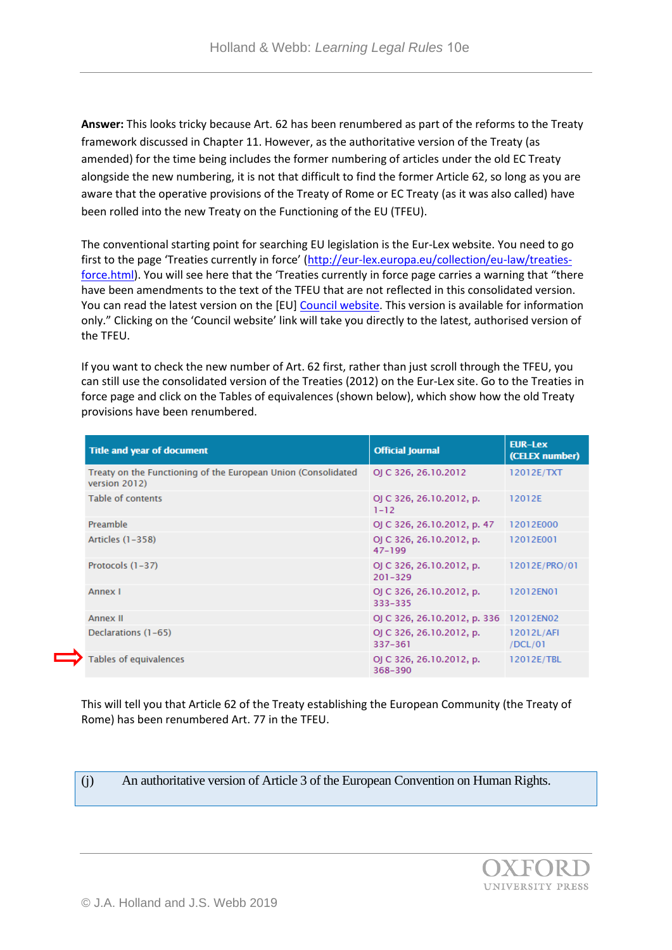**Answer:** This looks tricky because Art. 62 has been renumbered as part of the reforms to the Treaty framework discussed in Chapter 11. However, as the authoritative version of the Treaty (as amended) for the time being includes the former numbering of articles under the old EC Treaty alongside the new numbering, it is not that difficult to find the former Article 62, so long as you are aware that the operative provisions of the Treaty of Rome or EC Treaty (as it was also called) have been rolled into the new Treaty on the Functioning of the EU (TFEU).

The conventional starting point for searching EU legislation is the Eur-Lex website. You need to go first to the page 'Treaties currently in force' ([http://eur-lex.europa.eu/collection/eu-law/treaties](http://eur-lex.europa.eu/collection/eu-law/treaties-force.html)[force.html\)](http://eur-lex.europa.eu/collection/eu-law/treaties-force.html). You will see here that the 'Treaties currently in force page carries a warning that "there have been amendments to the text of the TFEU that are not reflected in this consolidated version. You can read the latest version on the [EU[\] Council website.](http://data.consilium.europa.eu/doc/document/ST-6655-2008-REV-8/en/pdf) This version is available for information only." Clicking on the 'Council website' link will take you directly to the latest, authorised version of the TFEU.

If you want to check the new number of Art. 62 first, rather than just scroll through the TFEU, you can still use the consolidated version of the Treaties (2012) on the Eur-Lex site. Go to the Treaties in force page and click on the Tables of equivalences (shown below), which show how the old Treaty provisions have been renumbered.

| <b>Title and year of document</b>                                              | <b>Official Journal</b>                 | <b>EUR-Lex</b><br>(CELEX number) |
|--------------------------------------------------------------------------------|-----------------------------------------|----------------------------------|
| Treaty on the Functioning of the European Union (Consolidated<br>version 2012) | OJ C 326, 26.10.2012                    | 12012E/TXT                       |
| <b>Table of contents</b>                                                       | OJ C 326, 26.10.2012, p.<br>$1 - 12$    | 12012E                           |
| Preamble                                                                       | OJ C 326, 26.10.2012, p. 47             | 12012E000                        |
| Articles (1-358)                                                               | OJ C 326, 26.10.2012, p.<br>$47 - 199$  | 12012E001                        |
| Protocols (1-37)                                                               | OJ C 326, 26.10.2012, p.<br>$201 - 329$ | 12012E/PRO/01                    |
| Annex I                                                                        | OJ C 326, 26.10.2012, p.<br>333-335     | 12012EN01                        |
| <b>Annex II</b>                                                                | OJ C 326, 26.10.2012, p. 336            | 12012EN02                        |
| Declarations (1-65)                                                            | OJ C 326, 26.10.2012, p.<br>337-361     | 12012L/AFI<br>/DCL/01            |
| Tables of equivalences                                                         | OJ C 326, 26.10.2012, p.<br>368-390     | 12012E/TBL                       |

This will tell you that Article 62 of the Treaty establishing the European Community (the Treaty of Rome) has been renumbered Art. 77 in the TFEU.

(j) An authoritative version of Article 3 of the European Convention on Human Rights.